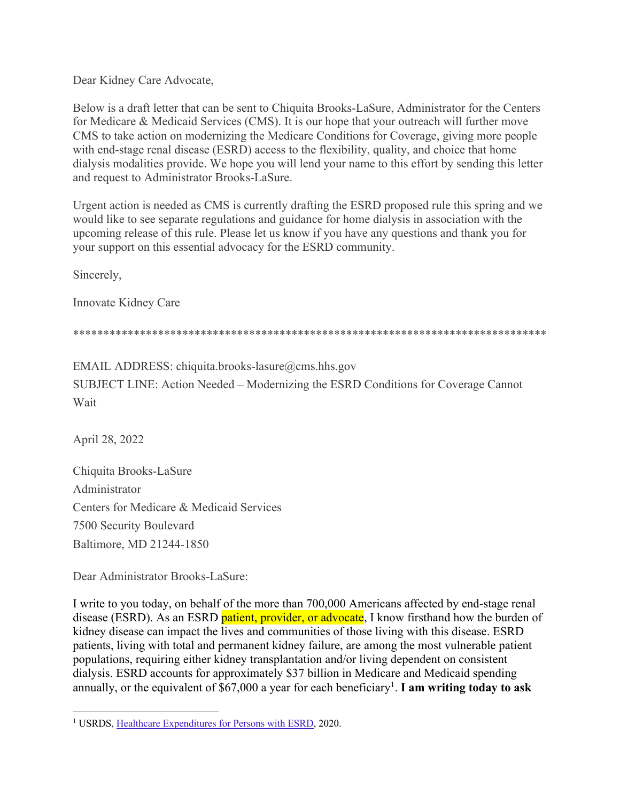Dear Kidney Care Advocate,

Below is a draft letter that can be sent to Chiquita Brooks-LaSure, Administrator for the Centers for Medicare & Medicaid Services (CMS). It is our hope that your outreach will further move CMS to take action on modernizing the Medicare Conditions for Coverage, giving more people with end-stage renal disease (ESRD) access to the flexibility, quality, and choice that home dialysis modalities provide. We hope you will lend your name to this effort by sending this letter and request to Administrator Brooks-LaSure.

Urgent action is needed as CMS is currently drafting the ESRD proposed rule this spring and we would like to see separate regulations and guidance for home dialysis in association with the upcoming release of this rule. Please let us know if you have any questions and thank you for your support on this essential advocacy for the ESRD community.

Sincerely,

Innovate Kidney Care

\*\*\*\*\*\*\*\*\*\*\*\*\*\*\*\*\*\*\*\*\*\*\*\*\*\*\*\*\*\*\*\*\*\*\*\*\*\*\*\*\*\*\*\*\*\*\*\*\*\*\*\*\*\*\*\*\*\*\*\*\*\*\*\*\*\*\*\*\*\*\*\*\*\*\*\*\*\*

EMAIL ADDRESS: chiquita.brooks-lasure@cms.hhs.gov SUBJECT LINE: Action Needed – Modernizing the ESRD Conditions for Coverage Cannot Wait

April 28, 2022

Chiquita Brooks-LaSure Administrator Centers for Medicare & Medicaid Services 7500 Security Boulevard Baltimore, MD 21244-1850

Dear Administrator Brooks-LaSure:

I write to you today, on behalf of the more than 700,000 Americans affected by end-stage renal disease (ESRD). As an ESRD patient, provider, or advocate, I know firsthand how the burden of kidney disease can impact the lives and communities of those living with this disease. ESRD patients, living with total and permanent kidney failure, are among the most vulnerable patient populations, requiring either kidney transplantation and/or living dependent on consistent dialysis. ESRD accounts for approximately \$37 billion in Medicare and Medicaid spending annually, or the equivalent of \$67,000 a year for each beneficiary<sup>1</sup>. I am writing today to ask

<sup>1</sup> USRDS, Healthcare Expenditures for Persons with ESRD, 2020.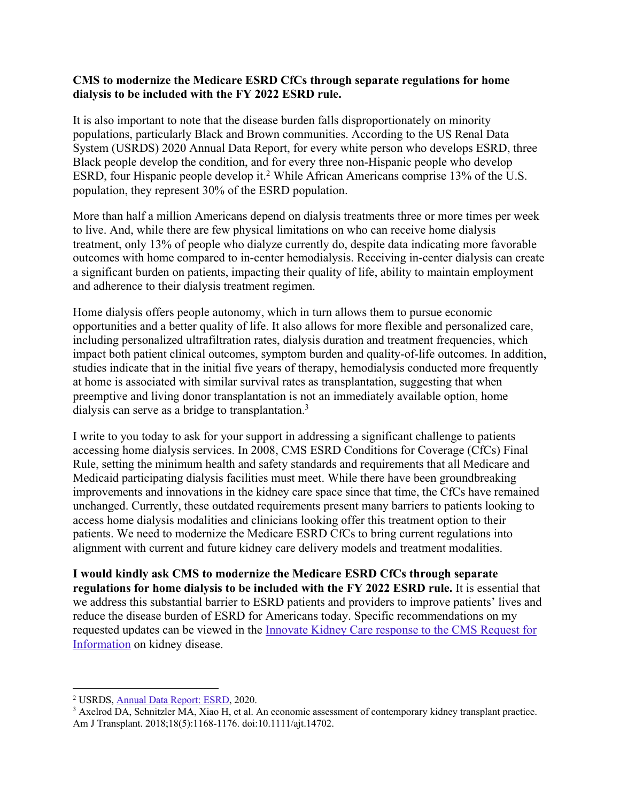## **CMS to modernize the Medicare ESRD CfCs through separate regulations for home dialysis to be included with the FY 2022 ESRD rule.**

It is also important to note that the disease burden falls disproportionately on minority populations, particularly Black and Brown communities. According to the US Renal Data System (USRDS) 2020 Annual Data Report, for every white person who develops ESRD, three Black people develop the condition, and for every three non-Hispanic people who develop ESRD, four Hispanic people develop it. <sup>2</sup> While African Americans comprise 13% of the U.S. population, they represent 30% of the ESRD population.

More than half a million Americans depend on dialysis treatments three or more times per week to live. And, while there are few physical limitations on who can receive home dialysis treatment, only 13% of people who dialyze currently do, despite data indicating more favorable outcomes with home compared to in-center hemodialysis. Receiving in-center dialysis can create a significant burden on patients, impacting their quality of life, ability to maintain employment and adherence to their dialysis treatment regimen.

Home dialysis offers people autonomy, which in turn allows them to pursue economic opportunities and a better quality of life. It also allows for more flexible and personalized care, including personalized ultrafiltration rates, dialysis duration and treatment frequencies, which impact both patient clinical outcomes, symptom burden and quality-of-life outcomes. In addition, studies indicate that in the initial five years of therapy, hemodialysis conducted more frequently at home is associated with similar survival rates as transplantation, suggesting that when preemptive and living donor transplantation is not an immediately available option, home dialysis can serve as a bridge to transplantation.<sup>3</sup>

I write to you today to ask for your support in addressing a significant challenge to patients accessing home dialysis services. In 2008, CMS ESRD Conditions for Coverage (CfCs) Final Rule, setting the minimum health and safety standards and requirements that all Medicare and Medicaid participating dialysis facilities must meet. While there have been groundbreaking improvements and innovations in the kidney care space since that time, the CfCs have remained unchanged. Currently, these outdated requirements present many barriers to patients looking to access home dialysis modalities and clinicians looking offer this treatment option to their patients. We need to modernize the Medicare ESRD CfCs to bring current regulations into alignment with current and future kidney care delivery models and treatment modalities.

**I would kindly ask CMS to modernize the Medicare ESRD CfCs through separate regulations for home dialysis to be included with the FY 2022 ESRD rule.** It is essential that we address this substantial barrier to ESRD patients and providers to improve patients' lives and reduce the disease burden of ESRD for Americans today. Specific recommendations on my requested updates can be viewed in the Innovate Kidney Care response to the CMS Request for Information on kidney disease.

<sup>2</sup> USRDS, Annual Data Report: ESRD, 2020.

<sup>&</sup>lt;sup>3</sup> Axelrod DA, Schnitzler MA, Xiao H, et al. An economic assessment of contemporary kidney transplant practice. Am J Transplant. 2018;18(5):1168-1176. doi:10.1111/ajt.14702.